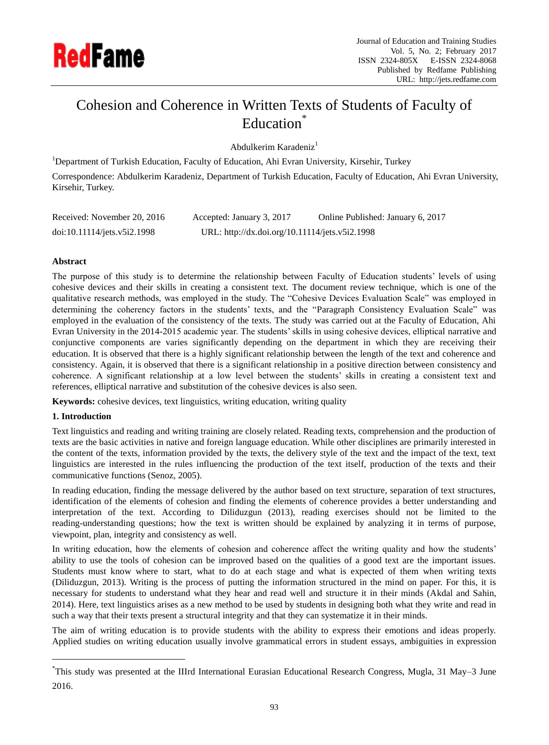

# Cohesion and Coherence in Written Texts of Students of Faculty of Education<sup>\*</sup>

Abdulkerim Karadeniz<sup>1</sup>

<sup>1</sup>Department of Turkish Education, Faculty of Education, Ahi Evran University, Kirsehir, Turkey

Correspondence: Abdulkerim Karadeniz, Department of Turkish Education, Faculty of Education, Ahi Evran University, Kirsehir, Turkey.

| Received: November 20, 2016 | Accepted: January 3, 2017                      | Online Published: January 6, 2017 |
|-----------------------------|------------------------------------------------|-----------------------------------|
| doi:10.11114/jets.v5i2.1998 | URL: http://dx.doi.org/10.11114/jets.v5i2.1998 |                                   |

# **Abstract**

The purpose of this study is to determine the relationship between Faculty of Education students' levels of using cohesive devices and their skills in creating a consistent text. The document review technique, which is one of the qualitative research methods, was employed in the study. The "Cohesive Devices Evaluation Scale" was employed in determining the coherency factors in the students' texts, and the "Paragraph Consistency Evaluation Scale" was employed in the evaluation of the consistency of the texts. The study was carried out at the Faculty of Education, Ahi Evran University in the 2014-2015 academic year. The students' skills in using cohesive devices, elliptical narrative and conjunctive components are varies significantly depending on the department in which they are receiving their education. It is observed that there is a highly significant relationship between the length of the text and coherence and consistency. Again, it is observed that there is a significant relationship in a positive direction between consistency and coherence. A significant relationship at a low level between the students' skills in creating a consistent text and references, elliptical narrative and substitution of the cohesive devices is also seen.

**Keywords:** cohesive devices, text linguistics, writing education, writing quality

# **1. Introduction**

-

Text linguistics and reading and writing training are closely related. Reading texts, comprehension and the production of texts are the basic activities in native and foreign language education. While other disciplines are primarily interested in the content of the texts, information provided by the texts, the delivery style of the text and the impact of the text, text linguistics are interested in the rules influencing the production of the text itself, production of the texts and their communicative functions (Senoz, 2005).

In reading education, finding the message delivered by the author based on text structure, separation of text structures, identification of the elements of cohesion and finding the elements of coherence provides a better understanding and interpretation of the text. According to Diliduzgun (2013), reading exercises should not be limited to the reading-understanding questions; how the text is written should be explained by analyzing it in terms of purpose, viewpoint, plan, integrity and consistency as well.

In writing education, how the elements of cohesion and coherence affect the writing quality and how the students' ability to use the tools of cohesion can be improved based on the qualities of a good text are the important issues. Students must know where to start, what to do at each stage and what is expected of them when writing texts (Diliduzgun, 2013). Writing is the process of putting the information structured in the mind on paper. For this, it is necessary for students to understand what they hear and read well and structure it in their minds (Akdal and Sahin, 2014). Here, text linguistics arises as a new method to be used by students in designing both what they write and read in such a way that their texts present a structural integrity and that they can systematize it in their minds.

The aim of writing education is to provide students with the ability to express their emotions and ideas properly. Applied studies on writing education usually involve grammatical errors in student essays, ambiguities in expression

<sup>\*</sup>This study was presented at the IIIrd International Eurasian Educational Research Congress, Mugla, 31 May–3 June 2016.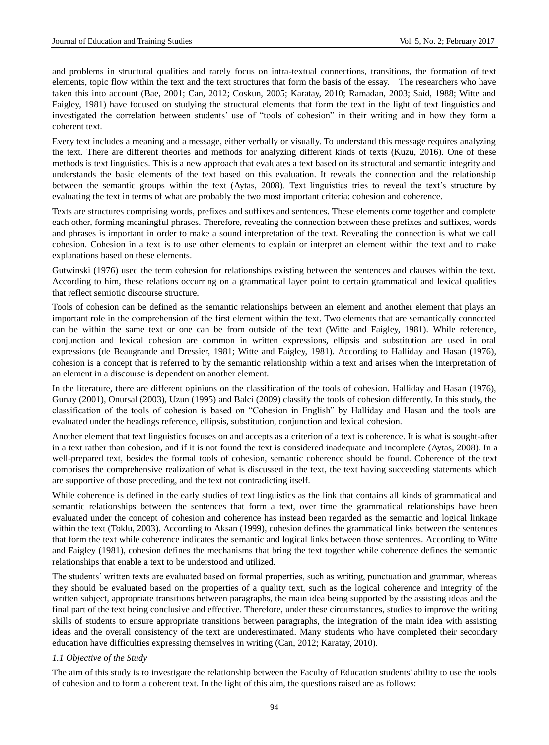and problems in structural qualities and rarely focus on intra-textual connections, transitions, the formation of text elements, topic flow within the text and the text structures that form the basis of the essay. The researchers who have taken this into account (Bae, 2001; Can, 2012; Coskun, 2005; Karatay, 2010; Ramadan, 2003; Said, 1988; Witte and Faigley, 1981) have focused on studying the structural elements that form the text in the light of text linguistics and investigated the correlation between students' use of "tools of cohesion" in their writing and in how they form a coherent text.

Every text includes a meaning and a message, either verbally or visually. To understand this message requires analyzing the text. There are different theories and methods for analyzing different kinds of texts (Kuzu, 2016). One of these methods is text linguistics. This is a new approach that evaluates a text based on its structural and semantic integrity and understands the basic elements of the text based on this evaluation. It reveals the connection and the relationship between the semantic groups within the text (Aytas, 2008). Text linguistics tries to reveal the text's structure by evaluating the text in terms of what are probably the two most important criteria: cohesion and coherence.

Texts are structures comprising words, prefixes and suffixes and sentences. These elements come together and complete each other, forming meaningful phrases. Therefore, revealing the connection between these prefixes and suffixes, words and phrases is important in order to make a sound interpretation of the text. Revealing the connection is what we call cohesion. Cohesion in a text is to use other elements to explain or interpret an element within the text and to make explanations based on these elements.

Gutwinski (1976) used the term cohesion for relationships existing between the sentences and clauses within the text. According to him, these relations occurring on a grammatical layer point to certain grammatical and lexical qualities that reflect semiotic discourse structure.

Tools of cohesion can be defined as the semantic relationships between an element and another element that plays an important role in the comprehension of the first element within the text. Two elements that are semantically connected can be within the same text or one can be from outside of the text (Witte and Faigley, 1981). While reference, conjunction and lexical cohesion are common in written expressions, ellipsis and substitution are used in oral expressions (de Beaugrande and Dressier, 1981; Witte and Faigley, 1981). According to Halliday and Hasan (1976), cohesion is a concept that is referred to by the semantic relationship within a text and arises when the interpretation of an element in a discourse is dependent on another element.

In the literature, there are different opinions on the classification of the tools of cohesion. Halliday and Hasan (1976), Gunay (2001), Onursal (2003), Uzun (1995) and Balci (2009) classify the tools of cohesion differently. In this study, the classification of the tools of cohesion is based on "Cohesion in English" by Halliday and Hasan and the tools are evaluated under the headings reference, ellipsis, substitution, conjunction and lexical cohesion.

Another element that text linguistics focuses on and accepts as a criterion of a text is coherence. It is what is sought-after in a text rather than cohesion, and if it is not found the text is considered inadequate and incomplete (Aytas, 2008). In a well-prepared text, besides the formal tools of cohesion, semantic coherence should be found. Coherence of the text comprises the comprehensive realization of what is discussed in the text, the text having succeeding statements which are supportive of those preceding, and the text not contradicting itself.

While coherence is defined in the early studies of text linguistics as the link that contains all kinds of grammatical and semantic relationships between the sentences that form a text, over time the grammatical relationships have been evaluated under the concept of cohesion and coherence has instead been regarded as the semantic and logical linkage within the text (Toklu, 2003). According to Aksan (1999), cohesion defines the grammatical links between the sentences that form the text while coherence indicates the semantic and logical links between those sentences. According to Witte and Faigley (1981), cohesion defines the mechanisms that bring the text together while coherence defines the semantic relationships that enable a text to be understood and utilized.

The students' written texts are evaluated based on formal properties, such as writing, punctuation and grammar, whereas they should be evaluated based on the properties of a quality text, such as the logical coherence and integrity of the written subject, appropriate transitions between paragraphs, the main idea being supported by the assisting ideas and the final part of the text being conclusive and effective. Therefore, under these circumstances, studies to improve the writing skills of students to ensure appropriate transitions between paragraphs, the integration of the main idea with assisting ideas and the overall consistency of the text are underestimated. Many students who have completed their secondary education have difficulties expressing themselves in writing (Can, 2012; Karatay, 2010).

#### *1.1 Objective of the Study*

The aim of this study is to investigate the relationship between the Faculty of Education students' ability to use the tools of cohesion and to form a coherent text. In the light of this aim, the questions raised are as follows: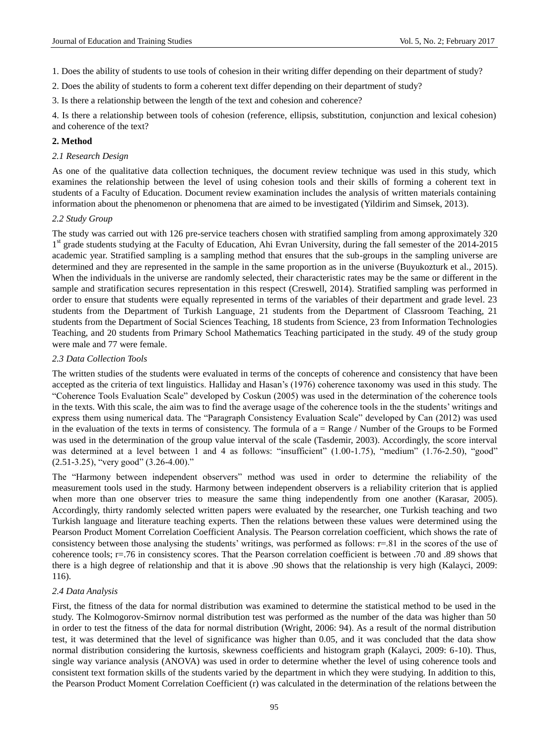1. Does the ability of students to use tools of cohesion in their writing differ depending on their department of study?

2. Does the ability of students to form a coherent text differ depending on their department of study?

3. Is there a relationship between the length of the text and cohesion and coherence?

4. Is there a relationship between tools of cohesion (reference, ellipsis, substitution, conjunction and lexical cohesion) and coherence of the text?

## **2. Method**

#### *2.1 Research Design*

As one of the qualitative data collection techniques, the document review technique was used in this study, which examines the relationship between the level of using cohesion tools and their skills of forming a coherent text in students of a Faculty of Education. Document review examination includes the analysis of written materials containing information about the phenomenon or phenomena that are aimed to be investigated (Yildirim and Simsek, 2013).

# *2.2 Study Group*

The study was carried out with 126 pre-service teachers chosen with stratified sampling from among approximately 320 1<sup>st</sup> grade students studying at the Faculty of Education, Ahi Evran University, during the fall semester of the 2014-2015 academic year. Stratified sampling is a sampling method that ensures that the sub-groups in the sampling universe are determined and they are represented in the sample in the same proportion as in the universe (Buyukozturk et al., 2015). When the individuals in the universe are randomly selected, their characteristic rates may be the same or different in the sample and stratification secures representation in this respect (Creswell, 2014). Stratified sampling was performed in order to ensure that students were equally represented in terms of the variables of their department and grade level. 23 students from the Department of Turkish Language, 21 students from the Department of Classroom Teaching, 21 students from the Department of Social Sciences Teaching, 18 students from Science, 23 from Information Technologies Teaching, and 20 students from Primary School Mathematics Teaching participated in the study. 49 of the study group were male and 77 were female.

## *2.3 Data Collection Tools*

The written studies of the students were evaluated in terms of the concepts of coherence and consistency that have been accepted as the criteria of text linguistics. Halliday and Hasan's (1976) coherence taxonomy was used in this study. The "Coherence Tools Evaluation Scale" developed by Coskun (2005) was used in the determination of the coherence tools in the texts. With this scale, the aim was to find the average usage of the coherence tools in the the students' writings and express them using numerical data. The "Paragraph Consistency Evaluation Scale" developed by Can (2012) was used in the evaluation of the texts in terms of consistency. The formula of  $a = Range / Number$  of the Groups to be Formed was used in the determination of the group value interval of the scale (Tasdemir, 2003). Accordingly, the score interval was determined at a level between 1 and 4 as follows: "insufficient" (1.00-1.75), "medium" (1.76-2.50), "good"  $(2.51-3.25)$ , "very good"  $(3.26-4.00)$ ."

The "Harmony between independent observers" method was used in order to determine the reliability of the measurement tools used in the study. Harmony between independent observers is a reliability criterion that is applied when more than one observer tries to measure the same thing independently from one another (Karasar, 2005). Accordingly, thirty randomly selected written papers were evaluated by the researcher, one Turkish teaching and two Turkish language and literature teaching experts. Then the relations between these values were determined using the Pearson Product Moment Correlation Coefficient Analysis. The Pearson correlation coefficient, which shows the rate of consistency between those analysing the students' writings, was performed as follows:  $r=81$  in the scores of the use of coherence tools; r=.76 in consistency scores. That the Pearson correlation coefficient is between .70 and .89 shows that there is a high degree of relationship and that it is above .90 shows that the relationship is very high (Kalayci, 2009: 116).

## *2.4 Data Analysis*

First, the fitness of the data for normal distribution was examined to determine the statistical method to be used in the study. The Kolmogorov-Smirnov normal distribution test was performed as the number of the data was higher than 50 in order to test the fitness of the data for normal distribution (Wright, 2006: 94). As a result of the normal distribution test, it was determined that the level of significance was higher than 0.05, and it was concluded that the data show normal distribution considering the kurtosis, skewness coefficients and histogram graph (Kalayci, 2009: 6-10). Thus, single way variance analysis (ANOVA) was used in order to determine whether the level of using coherence tools and consistent text formation skills of the students varied by the department in which they were studying. In addition to this, the Pearson Product Moment Correlation Coefficient (r) was calculated in the determination of the relations between the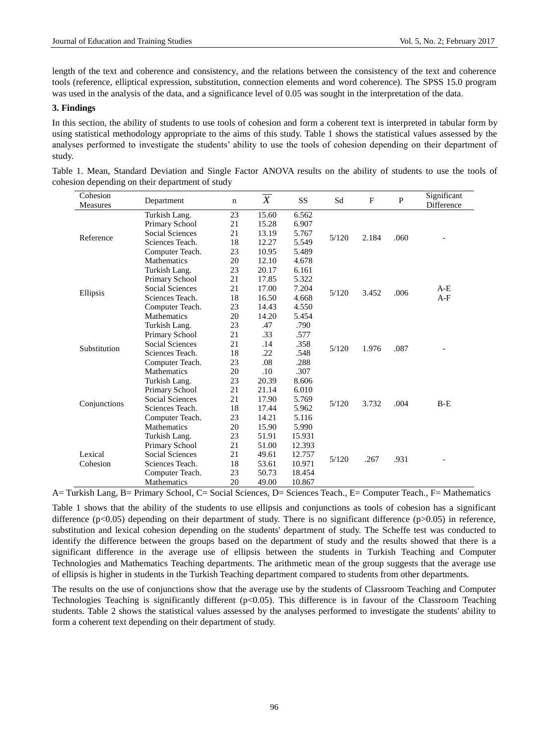length of the text and coherence and consistency, and the relations between the consistency of the text and coherence tools (reference, elliptical expression, substitution, connection elements and word coherence). The SPSS 15.0 program was used in the analysis of the data, and a significance level of 0.05 was sought in the interpretation of the data.

## **3. Findings**

In this section, the ability of students to use tools of cohesion and form a coherent text is interpreted in tabular form by using statistical methodology appropriate to the aims of this study. Table 1 shows the statistical values assessed by the analyses performed to investigate the students' ability to use the tools of cohesion depending on their department of study.

| Cohesion<br>Measures | Department             | $\mathbf n$ | X     | <b>SS</b> | Sd    | $\mathbf F$ | P    | Significant<br>Difference |
|----------------------|------------------------|-------------|-------|-----------|-------|-------------|------|---------------------------|
|                      | Turkish Lang.          | 23          | 15.60 | 6.562     |       |             |      |                           |
|                      | Primary School         | 21          | 15.28 | 6.907     |       | 2.184       | .060 |                           |
| Reference            | <b>Social Sciences</b> | 21          | 13.19 | 5.767     | 5/120 |             |      |                           |
|                      | Sciences Teach.        | 18          | 12.27 | 5.549     |       |             |      |                           |
|                      | Computer Teach.        | 23          | 10.95 | 5.489     |       |             |      |                           |
|                      | <b>Mathematics</b>     | 20          | 12.10 | 4.678     |       |             |      |                           |
|                      | Turkish Lang.          | 23          | 20.17 | 6.161     |       |             |      |                           |
|                      | Primary School         | 21          | 17.85 | 5.322     |       |             |      |                           |
|                      | <b>Social Sciences</b> | 21          | 17.00 | 7.204     | 5/120 |             | .006 | A-E                       |
| Ellipsis             | Sciences Teach.        | 18          | 16.50 | 4.668     |       | 3.452       |      | $A-F$                     |
|                      | Computer Teach.        | 23          | 14.43 | 4.550     |       |             |      |                           |
|                      | <b>Mathematics</b>     | 20          | 14.20 | 5.454     |       |             |      |                           |
|                      | Turkish Lang.          | 23          | .47   | .790      |       |             |      |                           |
|                      | Primary School         | 21          | .33   | .577      | 5/120 | 1.976       | .087 |                           |
|                      | <b>Social Sciences</b> | 21          | .14   | .358      |       |             |      |                           |
| Substitution         | Sciences Teach.        | 18          | .22   | .548      |       |             |      |                           |
|                      | Computer Teach.        | 23          | .08   | .288      |       |             |      |                           |
|                      | <b>Mathematics</b>     | 20          | .10   | .307      |       |             |      |                           |
|                      | Turkish Lang.          | 23          | 20.39 | 8.606     |       |             |      | $B-E$                     |
|                      | Primary School         | 21          | 21.14 | 6.010     |       | 3.732       |      |                           |
|                      | <b>Social Sciences</b> | 21          | 17.90 | 5.769     | 5/120 |             | .004 |                           |
| Conjunctions         | Sciences Teach.        | 18          | 17.44 | 5.962     |       |             |      |                           |
|                      | Computer Teach.        | 23          | 14.21 | 5.116     |       |             |      |                           |
|                      | Mathematics            | 20          | 15.90 | 5.990     |       |             |      |                           |
|                      | Turkish Lang.          | 23          | 51.91 | 15.931    |       |             |      |                           |
|                      | Primary School         | 21          | 51.00 | 12.393    |       |             |      |                           |
| Lexical              | <b>Social Sciences</b> | 21          | 49.61 | 12.757    |       |             |      |                           |
| Cohesion             | Sciences Teach.        | 18          | 53.61 | 10.971    | 5/120 | .267        | .931 |                           |
|                      | Computer Teach.        | 23          | 50.73 | 18.454    |       |             |      |                           |
|                      | Mathematics            | 20          | 49.00 | 10.867    |       |             |      |                           |

| Table 1. Mean, Standard Deviation and Single Factor ANOVA results on the ability of students to use the tools of |  |  |  |  |
|------------------------------------------------------------------------------------------------------------------|--|--|--|--|
| cohesion depending on their department of study                                                                  |  |  |  |  |

A= Turkish Lang, B= Primary School, C= Social Sciences, D= Sciences Teach., E= Computer Teach., F= Mathematics

Table 1 shows that the ability of the students to use ellipsis and conjunctions as tools of cohesion has a significant difference ( $p<0.05$ ) depending on their department of study. There is no significant difference ( $p>0.05$ ) in reference, substitution and lexical cohesion depending on the students' department of study. The Scheffe test was conducted to identify the difference between the groups based on the department of study and the results showed that there is a significant difference in the average use of ellipsis between the students in Turkish Teaching and Computer Technologies and Mathematics Teaching departments. The arithmetic mean of the group suggests that the average use of ellipsis is higher in students in the Turkish Teaching department compared to students from other departments.

The results on the use of conjunctions show that the average use by the students of Classroom Teaching and Computer Technologies Teaching is significantly different  $(p<0.05)$ . This difference is in favour of the Classroom Teaching students. Table 2 shows the statistical values assessed by the analyses performed to investigate the students' ability to form a coherent text depending on their department of study.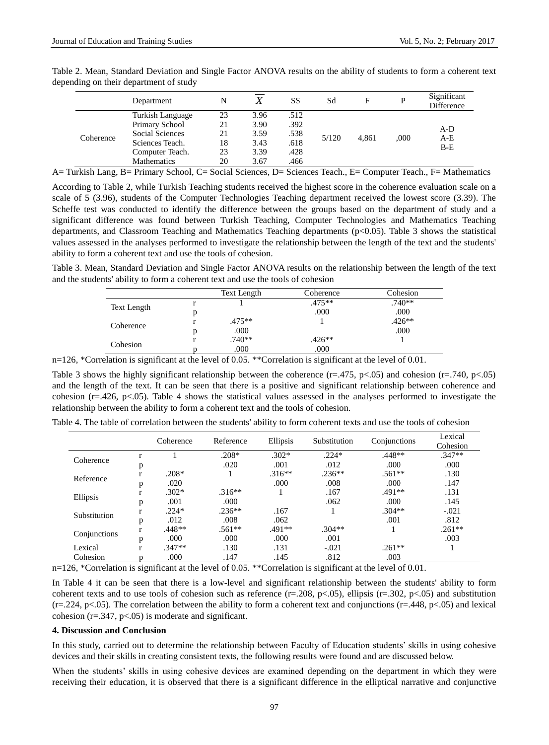|           | Department         | N  |      | <b>SS</b> | Sd    | F     | P    | Significant<br>Difference |
|-----------|--------------------|----|------|-----------|-------|-------|------|---------------------------|
|           | Turkish Language   | 23 | 3.96 | .512      |       |       | .000 |                           |
|           | Primary School     | 21 | 3.90 | .392      | 5/120 |       |      | A-D                       |
| Coherence | Social Sciences    | 21 | 3.59 | .538      |       |       |      | $A-E$                     |
|           | Sciences Teach.    | 18 | 3.43 | .618      |       | 4.861 |      | $B-E$                     |
|           | Computer Teach.    | 23 | 3.39 | .428      |       |       |      |                           |
|           | <b>Mathematics</b> | 20 | 3.67 | .466      |       |       |      |                           |

Table 2. Mean, Standard Deviation and Single Factor ANOVA results on the ability of students to form a coherent text depending on their department of study

A= Turkish Lang, B= Primary School, C= Social Sciences, D= Sciences Teach., E= Computer Teach., F= Mathematics

According to Table 2, while Turkish Teaching students received the highest score in the coherence evaluation scale on a scale of 5 (3.96), students of the Computer Technologies Teaching department received the lowest score (3.39). The Scheffe test was conducted to identify the difference between the groups based on the department of study and a significant difference was found between Turkish Teaching, Computer Technologies and Mathematics Teaching departments, and Classroom Teaching and Mathematics Teaching departments (p<0.05). Table 3 shows the statistical values assessed in the analyses performed to investigate the relationship between the length of the text and the students' ability to form a coherent text and use the tools of cohesion.

Table 3. Mean, Standard Deviation and Single Factor ANOVA results on the relationship between the length of the text and the students' ability to form a coherent text and use the tools of cohesion

|                    | Text Length | Coherence | Cohesion |
|--------------------|-------------|-----------|----------|
| <b>Text Length</b> |             | $.475**$  | $.740**$ |
|                    |             | .000      | .000     |
| Coherence          | $.475**$    |           | $.426**$ |
|                    | .000        |           | .000     |
| Cohesion           | $.740**$    | $.426**$  |          |
|                    | .000        | .000      |          |

n=126, \*Correlation is significant at the level of 0.05. \*\*Correlation is significant at the level of 0.01.

Table 3 shows the highly significant relationship between the coherence  $(r=.475, p<.05)$  and cohesion  $(r=.740, p<.05)$ and the length of the text. It can be seen that there is a positive and significant relationship between coherence and cohesion ( $r=426$ ,  $p<05$ ). Table 4 shows the statistical values assessed in the analyses performed to investigate the relationship between the ability to form a coherent text and the tools of cohesion.

|              |   | Coherence | Reference | Ellipsis | Substitution | Conjunctions | Lexical  |
|--------------|---|-----------|-----------|----------|--------------|--------------|----------|
|              |   |           |           |          |              |              | Cohesion |
| Coherence    |   |           | $.208*$   | $.302*$  | $.224*$      | .448**       | $.347**$ |
|              | p |           | .020      | .001     | .012         | .000         | .000     |
| Reference    |   | $.208*$   |           | $.316**$ | $.236**$     | $.561**$     | .130     |
|              | p | .020      |           | .000     | .008         | .000         | .147     |
|              |   | $.302*$   | $.316**$  |          | .167         | $.491**$     | .131     |
| Ellipsis     | p | .001      | .000      |          | .062         | .000         | .145     |
| Substitution |   | $.224*$   | $.236**$  | .167     |              | $.304**$     | $-.021$  |
|              | p | .012      | .008      | .062     |              | .001         | .812     |
| Conjunctions |   | $.448**$  | $.561**$  | $.491**$ | $.304**$     |              | $.261**$ |
|              | p | .000      | .000      | .000     | .001         |              | .003     |
| Lexical      |   | $.347**$  | .130      | .131     | $-.021$      | $.261**$     |          |
| Cohesion     |   | .000      | .147      | .145     | .812         | .003         |          |

Table 4. The table of correlation between the students' ability to form coherent texts and use the tools of cohesion

n=126, \*Correlation is significant at the level of 0.05. \*\*Correlation is significant at the level of 0.01.

In Table 4 it can be seen that there is a low-level and significant relationship between the students' ability to form coherent texts and to use tools of cohesion such as reference  $(r=.208, p<.05)$ , ellipsis  $(r=.302, p<.05)$  and substitution  $(r=.224, p<.05)$ . The correlation between the ability to form a coherent text and conjunctions  $(r=.448, p<.05)$  and lexical cohesion  $(r=.347, p<.05)$  is moderate and significant.

#### **4. Discussion and Conclusion**

In this study, carried out to determine the relationship between Faculty of Education students' skills in using cohesive devices and their skills in creating consistent texts, the following results were found and are discussed below.

When the students' skills in using cohesive devices are examined depending on the department in which they were receiving their education, it is observed that there is a significant difference in the elliptical narrative and conjunctive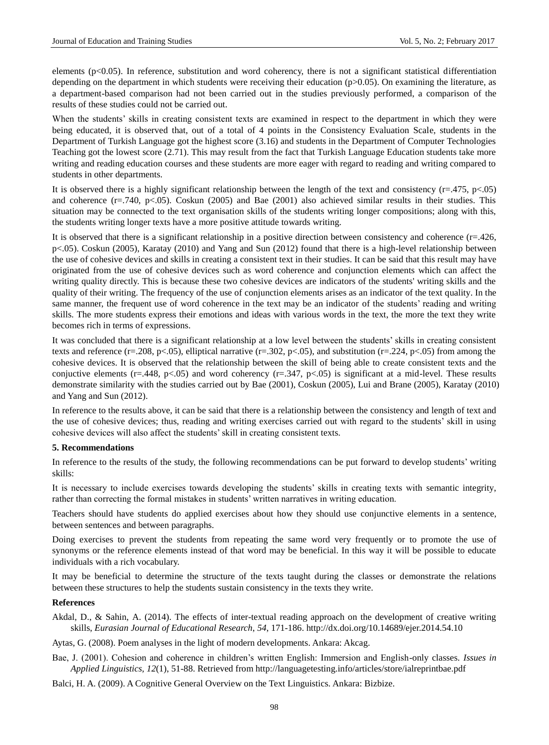elements ( $p<0.05$ ). In reference, substitution and word coherency, there is not a significant statistical differentiation depending on the department in which students were receiving their education ( $p>0.05$ ). On examining the literature, as a department-based comparison had not been carried out in the studies previously performed, a comparison of the results of these studies could not be carried out.

When the students' skills in creating consistent texts are examined in respect to the department in which they were being educated, it is observed that, out of a total of 4 points in the Consistency Evaluation Scale, students in the Department of Turkish Language got the highest score (3.16) and students in the Department of Computer Technologies Teaching got the lowest score (2.71). This may result from the fact that Turkish Language Education students take more writing and reading education courses and these students are more eager with regard to reading and writing compared to students in other departments.

It is observed there is a highly significant relationship between the length of the text and consistency  $(r=.475, p<.05)$ and coherence (r=.740, p<.05). Coskun (2005) and Bae (2001) also achieved similar results in their studies. This situation may be connected to the text organisation skills of the students writing longer compositions; along with this, the students writing longer texts have a more positive attitude towards writing.

It is observed that there is a significant relationship in a positive direction between consistency and coherence  $(r=.426, ...)$ p<.05). Coskun (2005), Karatay (2010) and Yang and Sun (2012) found that there is a high-level relationship between the use of cohesive devices and skills in creating a consistent text in their studies. It can be said that this result may have originated from the use of cohesive devices such as word coherence and conjunction elements which can affect the writing quality directly. This is because these two cohesive devices are indicators of the students' writing skills and the quality of their writing. The frequency of the use of conjunction elements arises as an indicator of the text quality. In the same manner, the frequent use of word coherence in the text may be an indicator of the students' reading and writing skills. The more students express their emotions and ideas with various words in the text, the more the text they write becomes rich in terms of expressions.

It was concluded that there is a significant relationship at a low level between the students' skills in creating consistent texts and reference (r=.208, p<.05), elliptical narrative (r=.302, p<.05), and substitution (r=.224, p<.05) from among the cohesive devices. It is observed that the relationship between the skill of being able to create consistent texts and the conjuctive elements (r=.448, p<.05) and word coherency (r=.347, p<.05) is significant at a mid-level. These results demonstrate similarity with the studies carried out by Bae (2001), Coskun (2005), Lui and Brane (2005), Karatay (2010) and Yang and Sun (2012).

In reference to the results above, it can be said that there is a relationship between the consistency and length of text and the use of cohesive devices; thus, reading and writing exercises carried out with regard to the students' skill in using cohesive devices will also affect the students' skill in creating consistent texts.

#### **5. Recommendations**

In reference to the results of the study, the following recommendations can be put forward to develop students' writing skills:

It is necessary to include exercises towards developing the students' skills in creating texts with semantic integrity, rather than correcting the formal mistakes in students' written narratives in writing education.

Teachers should have students do applied exercises about how they should use conjunctive elements in a sentence, between sentences and between paragraphs.

Doing exercises to prevent the students from repeating the same word very frequently or to promote the use of synonyms or the reference elements instead of that word may be beneficial. In this way it will be possible to educate individuals with a rich vocabulary.

It may be beneficial to determine the structure of the texts taught during the classes or demonstrate the relations between these structures to help the students sustain consistency in the texts they write.

#### **References**

Akdal, D., & Sahin, A. (2014). The effects of inter-textual reading approach on the development of creative writing skills, *Eurasian Journal of Educational Research*, *54*, 171-186. http://dx.doi.org/10.14689/ejer.2014.54.10

Aytas, G. (2008). Poem analyses in the light of modern developments. Ankara: Akcag.

- Bae, J. (2001). Cohesion and coherence in children's written English: Immersion and English-only classes. *Issues in Applied Linguistics, 12*(1), 51-88. Retrieved from http://languagetesting.info/articles/store/ialreprintbae.pdf
- Balci, H. A. (2009). A Cognitive General Overview on the Text Linguistics. Ankara: Bizbize.